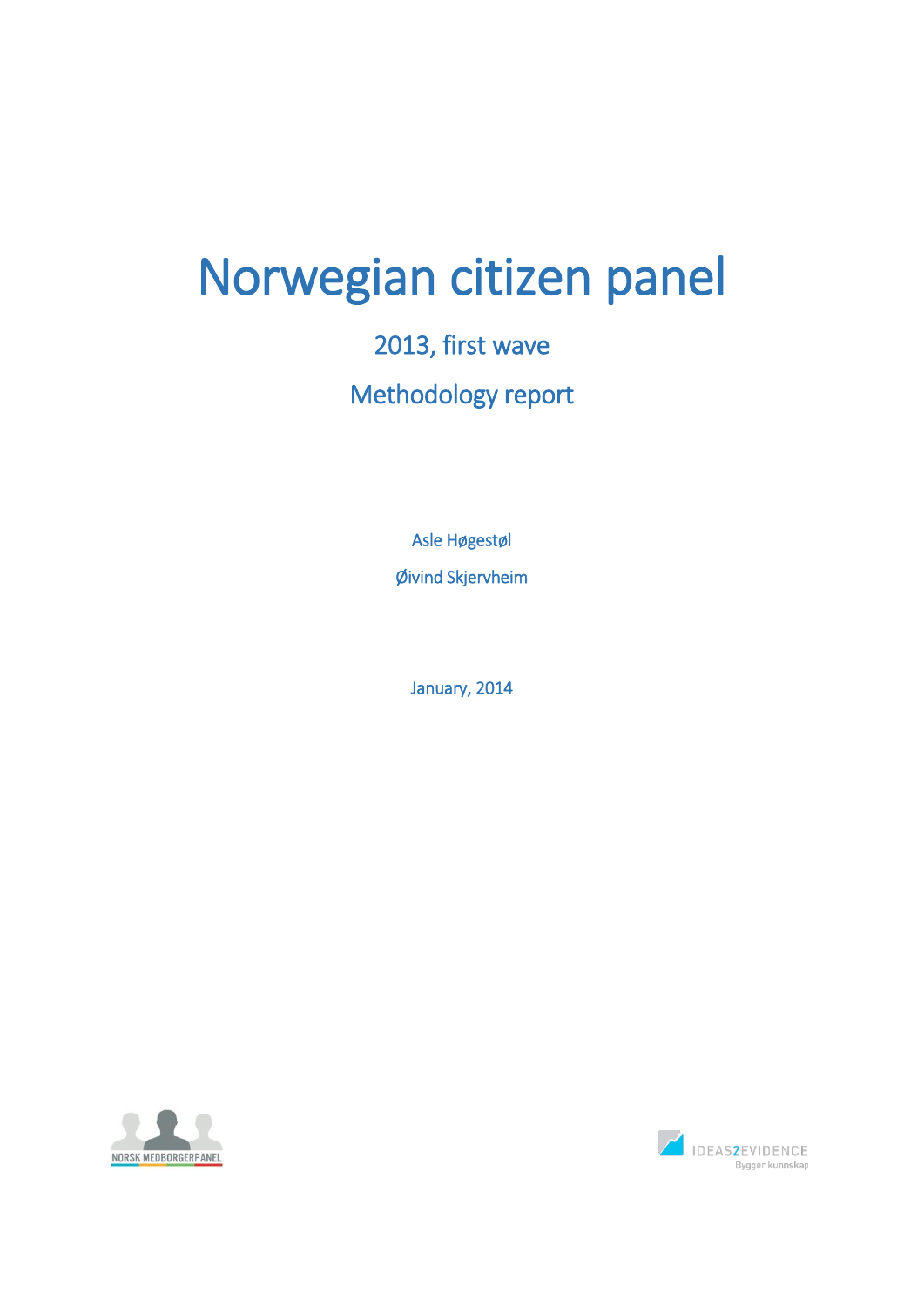# Norwegian citizen panel

# 2013, first wave Methodology report

Asle Høgestøl Øivind Skjervheim

January, 2014



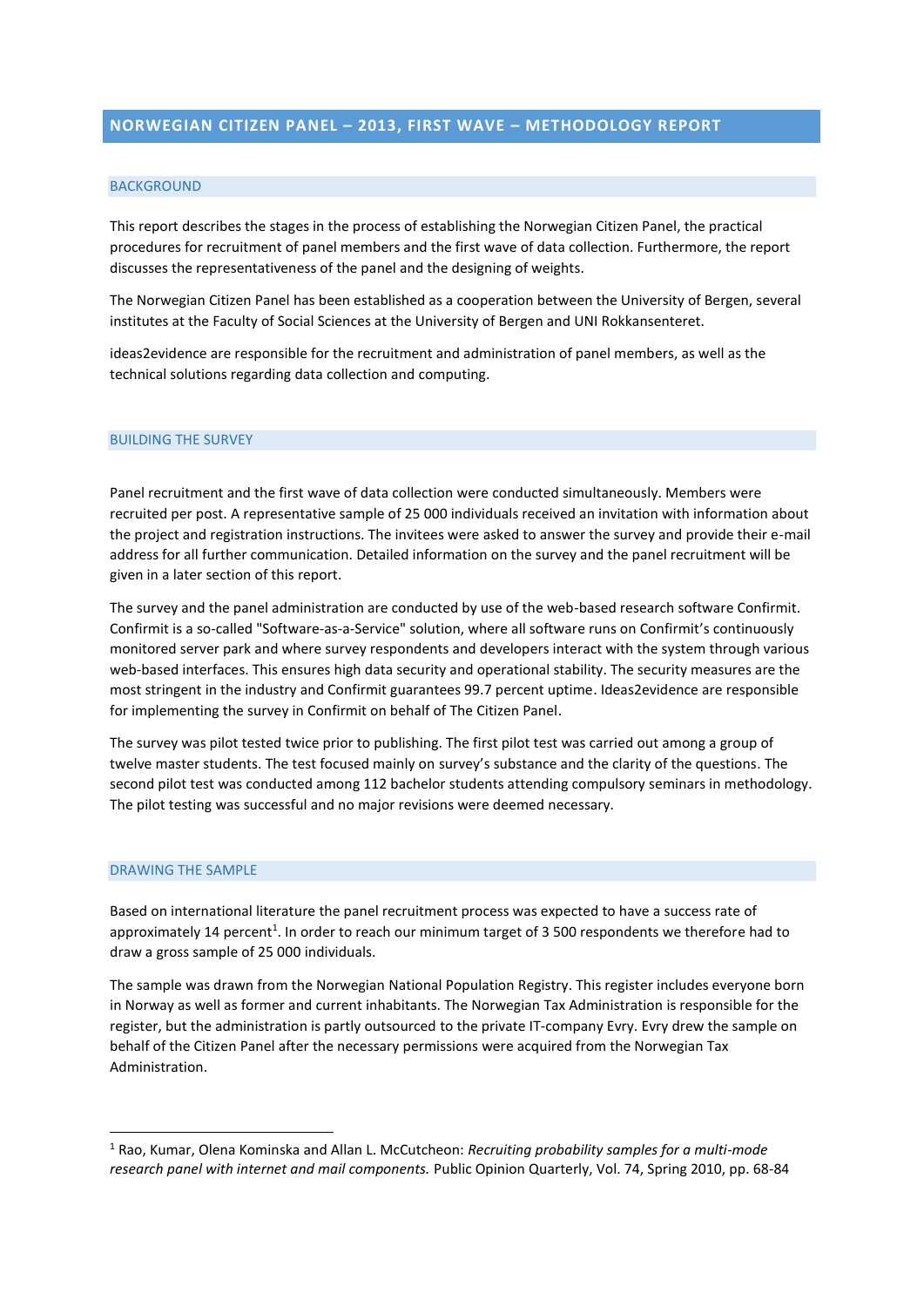#### BACKGROUND

This report describes the stages in the process of establishing the Norwegian Citizen Panel, the practical procedures for recruitment of panel members and the first wave of data collection. Furthermore, the report discusses the representativeness of the panel and the designing of weights.

The Norwegian Citizen Panel has been established as a cooperation between the University of Bergen, several institutes at the Faculty of Social Sciences at the University of Bergen and UNI Rokkansenteret.

ideas2evidence are responsible for the recruitment and administration of panel members, as well as the technical solutions regarding data collection and computing.

#### BUILDING THE SURVEY

Panel recruitment and the first wave of data collection were conducted simultaneously. Members were recruited per post. A representative sample of 25 000 individuals received an invitation with information about the project and registration instructions. The invitees were asked to answer the survey and provide their e-mail address for all further communication. Detailed information on the survey and the panel recruitment will be given in a later section of this report.

The survey and the panel administration are conducted by use of the web-based research software Confirmit. Confirmit is a so-called "Software-as-a-Service" solution, where all software runs on Confirmit's continuously monitored server park and where survey respondents and developers interact with the system through various web-based interfaces. This ensures high data security and operational stability. The security measures are the most stringent in the industry and Confirmit guarantees 99.7 percent uptime. Ideas2evidence are responsible for implementing the survey in Confirmit on behalf of The Citizen Panel.

The survey was pilot tested twice prior to publishing. The first pilot test was carried out among a group of twelve master students. The test focused mainly on survey's substance and the clarity of the questions. The second pilot test was conducted among 112 bachelor students attending compulsory seminars in methodology. The pilot testing was successful and no major revisions were deemed necessary.

#### DRAWING THE SAMPLE

<u>.</u>

Based on international literature the panel recruitment process was expected to have a success rate of approximately 14 percent<sup>1</sup>. In order to reach our minimum target of 3 500 respondents we therefore had to draw a gross sample of 25 000 individuals.

The sample was drawn from the Norwegian National Population Registry. This register includes everyone born in Norway as well as former and current inhabitants. The Norwegian Tax Administration is responsible for the register, but the administration is partly outsourced to the private IT-company Evry. Evry drew the sample on behalf of the Citizen Panel after the necessary permissions were acquired from the Norwegian Tax Administration.

<sup>1</sup> Rao, Kumar, Olena Kominska and Allan L. McCutcheon: *Recruiting probability samples for a multi-mode research panel with internet and mail components.* Public Opinion Quarterly, Vol. 74, Spring 2010, pp. 68-84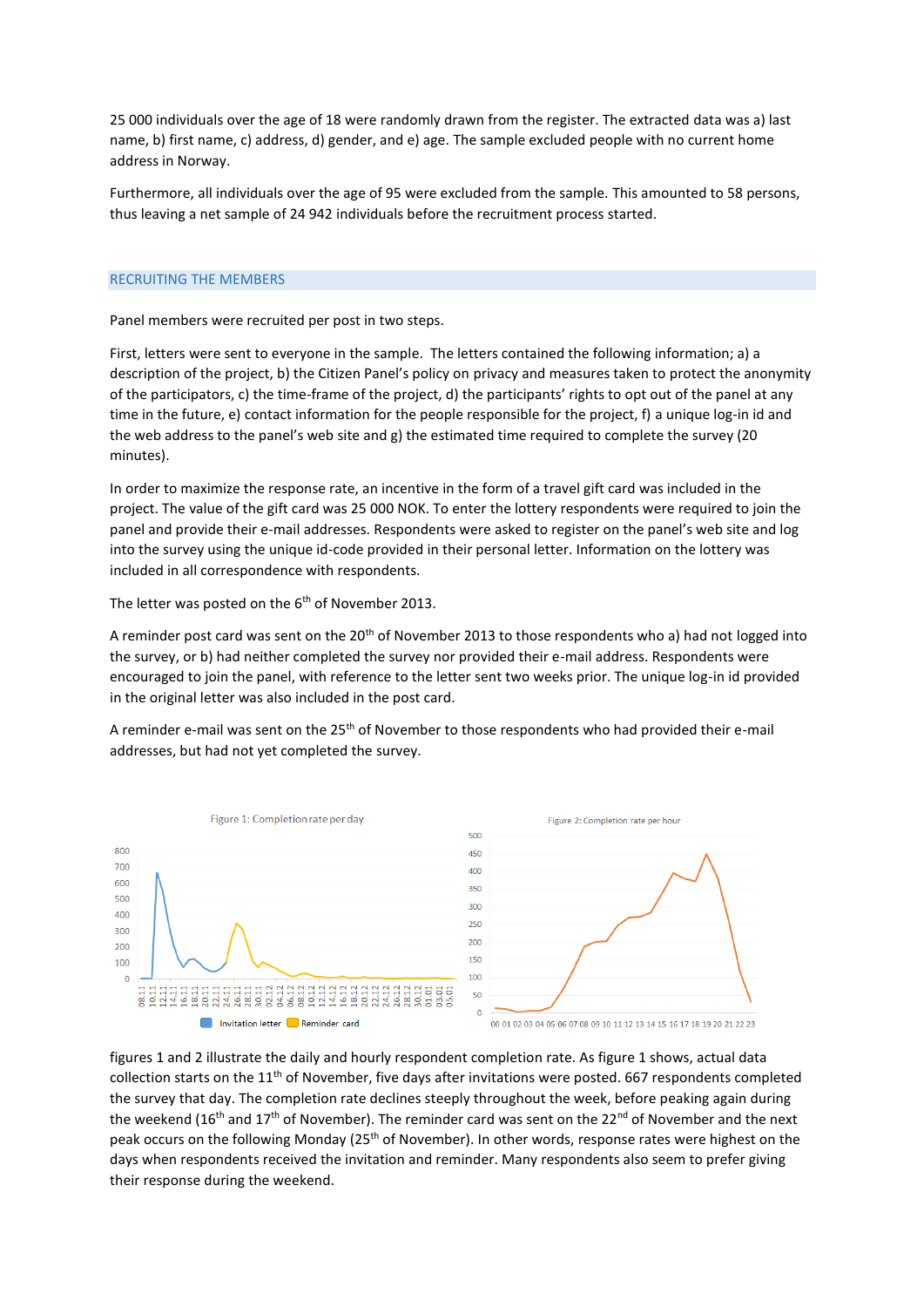25 000 individuals over the age of 18 were randomly drawn from the register. The extracted data was a) last name, b) first name, c) address, d) gender, and e) age. The sample excluded people with no current home address in Norway.

Furthermore, all individuals over the age of 95 were excluded from the sample. This amounted to 58 persons, thus leaving a net sample of 24 942 individuals before the recruitment process started.

### RECRUITING THE MEMBERS

Panel members were recruited per post in two steps.

First, letters were sent to everyone in the sample. The letters contained the following information; a) a description of the project, b) the Citizen Panel's policy on privacy and measures taken to protect the anonymity of the participators, c) the time-frame of the project, d) the participants' rights to opt out of the panel at any time in the future, e) contact information for the people responsible for the project, f) a unique log-in id and the web address to the panel's web site and g) the estimated time required to complete the survey (20 minutes).

In order to maximize the response rate, an incentive in the form of a travel gift card was included in the project. The value of the gift card was 25 000 NOK. To enter the lottery respondents were required to join the panel and provide their e-mail addresses. Respondents were asked to register on the panel's web site and log into the survey using the unique id-code provided in their personal letter. Information on the lottery was included in all correspondence with respondents.

The letter was posted on the 6<sup>th</sup> of November 2013.

A reminder post card was sent on the 20<sup>th</sup> of November 2013 to those respondents who a) had not logged into the survey, or b) had neither completed the survey nor provided their e-mail address. Respondents were encouraged to join the panel, with reference to the letter sent two weeks prior. The unique log-in id provided in the original letter was also included in the post card.

A reminder e-mail was sent on the 25<sup>th</sup> of November to those respondents who had provided their e-mail addresses, but had not yet completed the survey.



figures 1 and 2 illustrate the daily and hourly respondent completion rate. As figure 1 shows, actual data collection starts on the 11th of November, five days after invitations were posted. 667 respondents completed the survey that day. The completion rate declines steeply throughout the week, before peaking again during the weekend (16<sup>th</sup> and 17<sup>th</sup> of November). The reminder card was sent on the 22<sup>nd</sup> of November and the next peak occurs on the following Monday (25<sup>th</sup> of November). In other words, response rates were highest on the days when respondents received the invitation and reminder. Many respondents also seem to prefer giving their response during the weekend.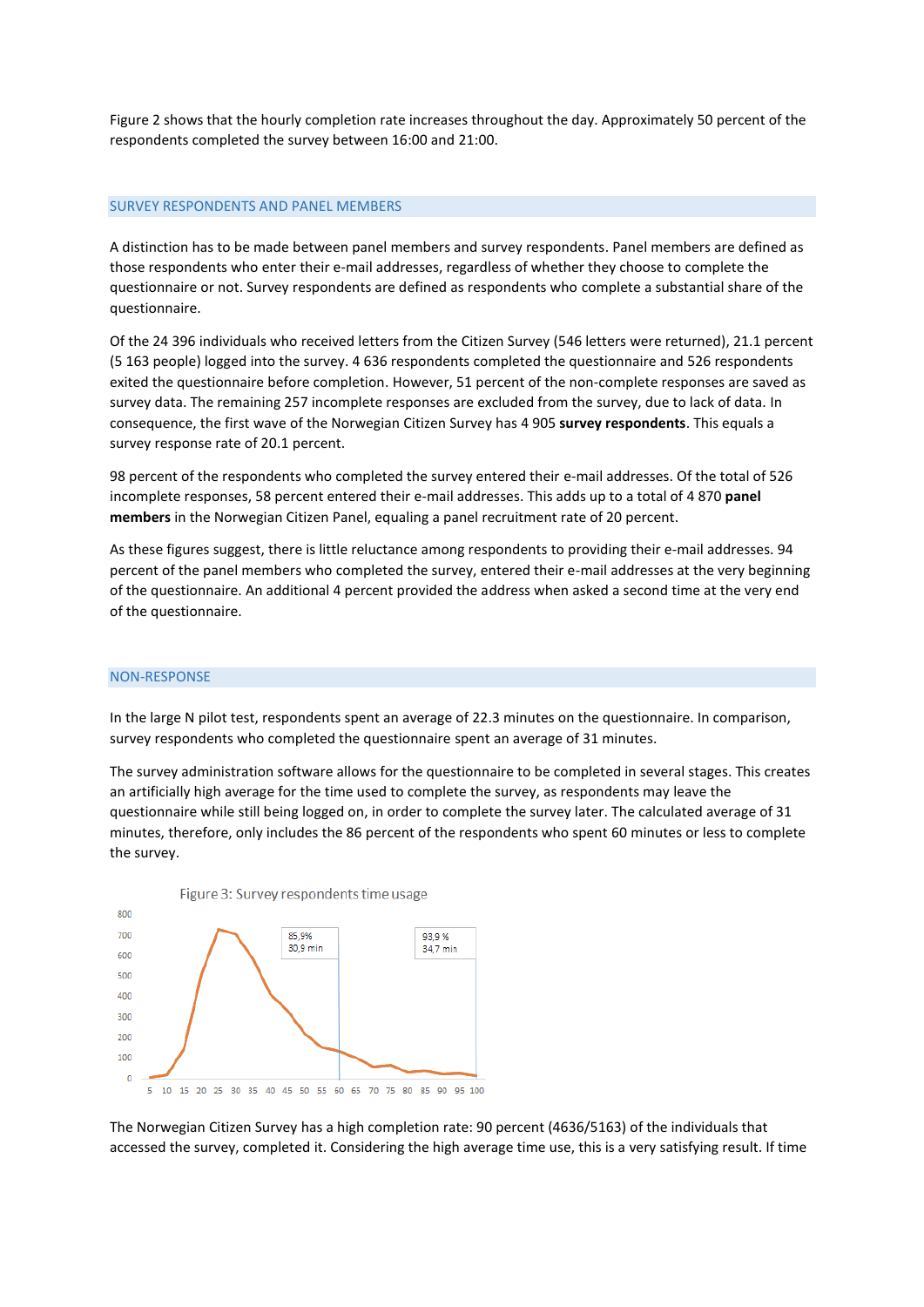Figure 2 shows that the hourly completion rate increases throughout the day. Approximately 50 percent of the respondents completed the survey between 16:00 and 21:00.

#### SURVEY RESPONDENTS AND PANEL MEMBERS

A distinction has to be made between panel members and survey respondents. Panel members are defined as those respondents who enter their e-mail addresses, regardless of whether they choose to complete the questionnaire or not. Survey respondents are defined as respondents who complete a substantial share of the questionnaire.

Of the 24 396 individuals who received letters from the Citizen Survey (546 letters were returned), 21.1 percent (5 163 people) logged into the survey. 4 636 respondents completed the questionnaire and 526 respondents exited the questionnaire before completion. However, 51 percent of the non-complete responses are saved as survey data. The remaining 257 incomplete responses are excluded from the survey, due to lack of data. In consequence, the first wave of the Norwegian Citizen Survey has 4 905 **survey respondents**. This equals a survey response rate of 20.1 percent.

98 percent of the respondents who completed the survey entered their e-mail addresses. Of the total of 526 incomplete responses, 58 percent entered their e-mail addresses. This adds up to a total of 4 870 **panel members** in the Norwegian Citizen Panel, equaling a panel recruitment rate of 20 percent.

As these figures suggest, there is little reluctance among respondents to providing their e-mail addresses. 94 percent of the panel members who completed the survey, entered their e-mail addresses at the very beginning of the questionnaire. An additional 4 percent provided the address when asked a second time at the very end of the questionnaire.

#### NON-RESPONSE

In the large N pilot test, respondents spent an average of 22.3 minutes on the questionnaire. In comparison, survey respondents who completed the questionnaire spent an average of 31 minutes.

The survey administration software allows for the questionnaire to be completed in several stages. This creates an artificially high average for the time used to complete the survey, as respondents may leave the questionnaire while still being logged on, in order to complete the survey later. The calculated average of 31 minutes, therefore, only includes the 86 percent of the respondents who spent 60 minutes or less to complete the survey.



The Norwegian Citizen Survey has a high completion rate: 90 percent (4636/5163) of the individuals that accessed the survey, completed it. Considering the high average time use, this is a very satisfying result. If time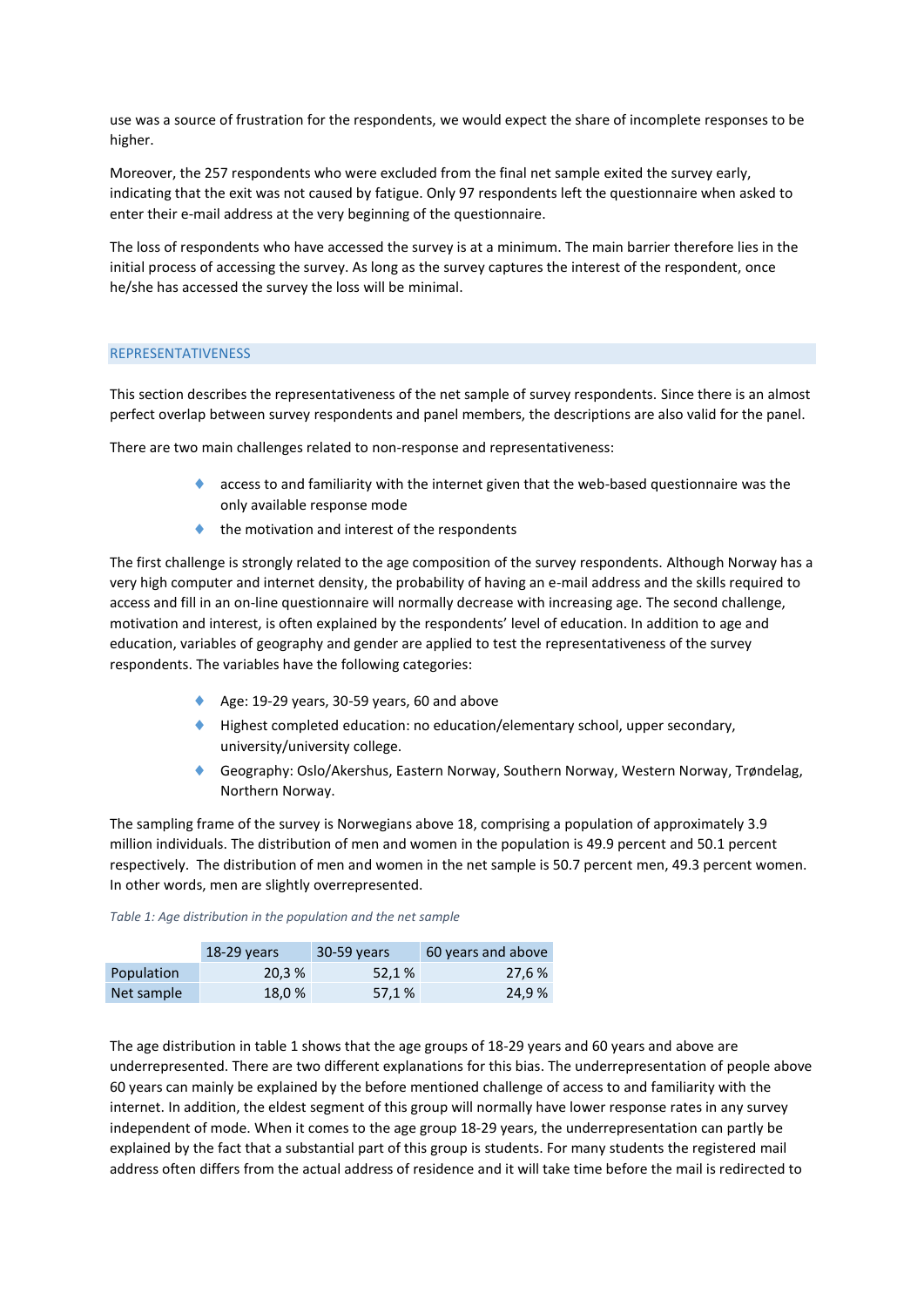use was a source of frustration for the respondents, we would expect the share of incomplete responses to be higher.

Moreover, the 257 respondents who were excluded from the final net sample exited the survey early, indicating that the exit was not caused by fatigue. Only 97 respondents left the questionnaire when asked to enter their e-mail address at the very beginning of the questionnaire.

The loss of respondents who have accessed the survey is at a minimum. The main barrier therefore lies in the initial process of accessing the survey. As long as the survey captures the interest of the respondent, once he/she has accessed the survey the loss will be minimal.

### REPRESENTATIVENESS

This section describes the representativeness of the net sample of survey respondents. Since there is an almost perfect overlap between survey respondents and panel members, the descriptions are also valid for the panel.

There are two main challenges related to non-response and representativeness:

- access to and familiarity with the internet given that the web-based questionnaire was the only available response mode
- the motivation and interest of the respondents

The first challenge is strongly related to the age composition of the survey respondents. Although Norway has a very high computer and internet density, the probability of having an e-mail address and the skills required to access and fill in an on-line questionnaire will normally decrease with increasing age. The second challenge, motivation and interest, is often explained by the respondents' level of education. In addition to age and education, variables of geography and gender are applied to test the representativeness of the survey respondents. The variables have the following categories:

- Age: 19-29 years, 30-59 years, 60 and above
- Highest completed education: no education/elementary school, upper secondary, university/university college.
- Geography: Oslo/Akershus, Eastern Norway, Southern Norway, Western Norway, Trøndelag, Northern Norway.

The sampling frame of the survey is Norwegians above 18, comprising a population of approximately 3.9 million individuals. The distribution of men and women in the population is 49.9 percent and 50.1 percent respectively. The distribution of men and women in the net sample is 50.7 percent men, 49.3 percent women. In other words, men are slightly overrepresented.

|            | $18-29$ years | 30-59 years | 60 years and above |
|------------|---------------|-------------|--------------------|
| Population | 20.3%         | 52,1%       | 27,6 %             |
| Net sample | 18,0 %        | 57,1 %      | 24,9 %             |

*Table 1: Age distribution in the population and the net sample*

The age distribution in table 1 shows that the age groups of 18-29 years and 60 years and above are underrepresented. There are two different explanations for this bias. The underrepresentation of people above 60 years can mainly be explained by the before mentioned challenge of access to and familiarity with the internet. In addition, the eldest segment of this group will normally have lower response rates in any survey independent of mode. When it comes to the age group 18-29 years, the underrepresentation can partly be explained by the fact that a substantial part of this group is students. For many students the registered mail address often differs from the actual address of residence and it will take time before the mail is redirected to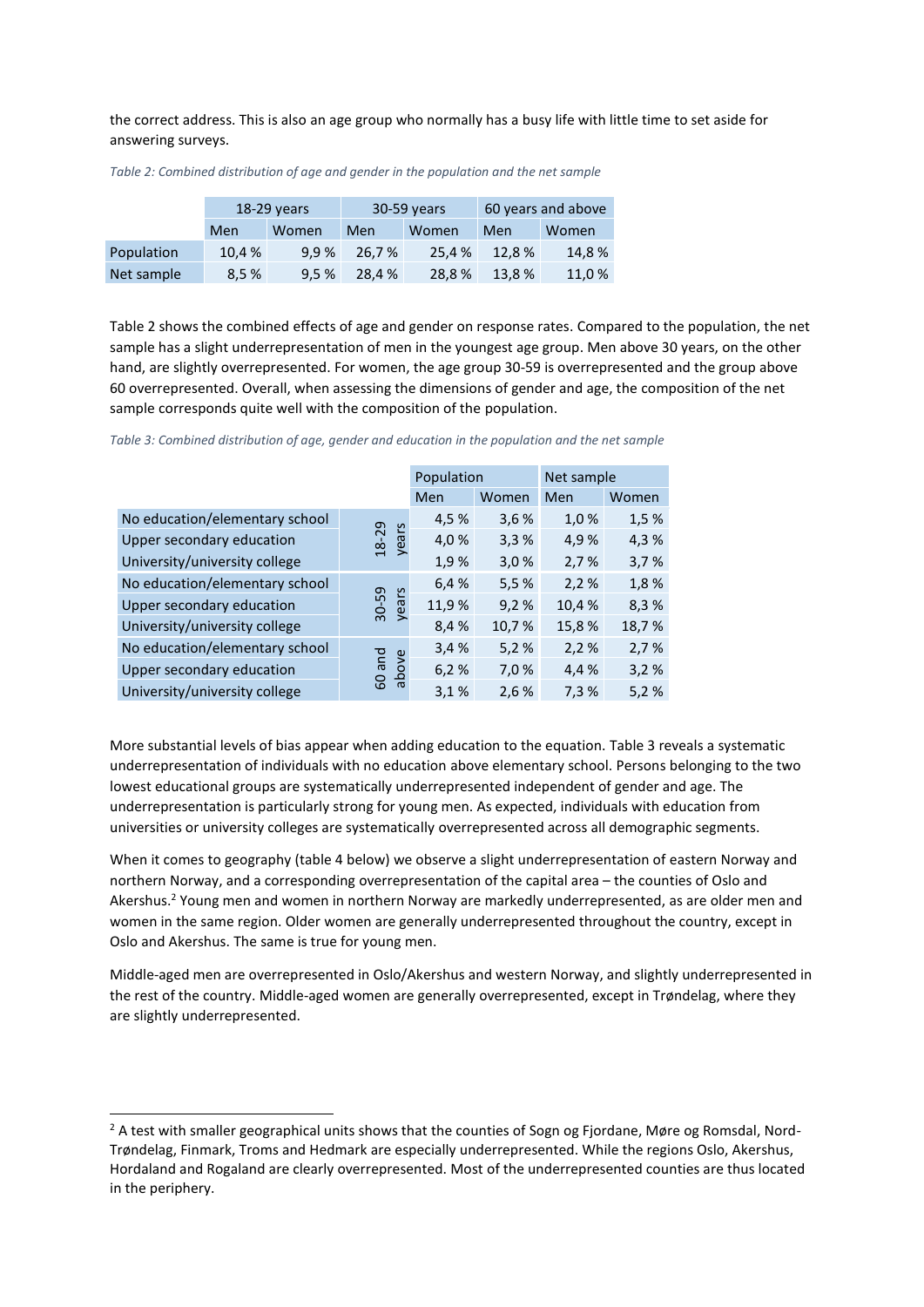the correct address. This is also an age group who normally has a busy life with little time to set aside for answering surveys.

|            | 18-29 years |       | 30-59 years |        | 60 years and above |        |
|------------|-------------|-------|-------------|--------|--------------------|--------|
|            | Men         | Women | Men         | Women  | Men                | Women  |
| Population | 10,4 %      | 9.9%  | 26,7%       | 25.4 % | 12.8%              | 14,8%  |
| Net sample | 8,5%        | 9.5%  | 28.4 %      | 28,8%  | 13,8%              | 11,0 % |

*Table 2: Combined distribution of age and gender in the population and the net sample*

Table 2 shows the combined effects of age and gender on response rates. Compared to the population, the net sample has a slight underrepresentation of men in the youngest age group. Men above 30 years, on the other hand, are slightly overrepresented. For women, the age group 30-59 is overrepresented and the group above 60 overrepresented. Overall, when assessing the dimensions of gender and age, the composition of the net sample corresponds quite well with the composition of the population.

|                                |                | Population |       | Net sample |       |
|--------------------------------|----------------|------------|-------|------------|-------|
|                                |                | Men        | Women | Men        | Women |
| No education/elementary school |                | 4,5%       | 3,6%  | 1,0%       | 1,5%  |
| Upper secondary education      | years<br>18-29 | 4,0%       | 3,3%  | 4,9%       | 4,3%  |
| University/university college  |                | 1,9%       | 3,0%  | 2,7%       | 3,7%  |
| No education/elementary school |                | 6,4%       | 5,5%  | 2,2%       | 1,8%  |
| Upper secondary education      | 30-59<br>years | 11,9%      | 9,2%  | 10,4%      | 8,3%  |
| University/university college  |                | 8,4%       | 10,7% | 15,8%      | 18,7% |
| No education/elementary school |                | 3,4%       | 5,2%  | 2,2%       | 2,7%  |
| Upper secondary education      | and<br>above   | 6,2%       | 7,0 % | 4,4 %      | 3,2%  |
| University/university college  | 60             | 3,1%       | 2,6%  | 7,3%       | 5,2%  |

*Table 3: Combined distribution of age, gender and education in the population and the net sample*

More substantial levels of bias appear when adding education to the equation. Table 3 reveals a systematic underrepresentation of individuals with no education above elementary school. Persons belonging to the two lowest educational groups are systematically underrepresented independent of gender and age. The underrepresentation is particularly strong for young men. As expected, individuals with education from universities or university colleges are systematically overrepresented across all demographic segments.

When it comes to geography (table 4 below) we observe a slight underrepresentation of eastern Norway and northern Norway, and a corresponding overrepresentation of the capital area – the counties of Oslo and Akershus. <sup>2</sup> Young men and women in northern Norway are markedly underrepresented, as are older men and women in the same region. Older women are generally underrepresented throughout the country, except in Oslo and Akershus. The same is true for young men.

Middle-aged men are overrepresented in Oslo/Akershus and western Norway, and slightly underrepresented in the rest of the country. Middle-aged women are generally overrepresented, except in Trøndelag, where they are slightly underrepresented.

**.** 

<sup>&</sup>lt;sup>2</sup> A test with smaller geographical units shows that the counties of Sogn og Fjordane, Møre og Romsdal, Nord-Trøndelag, Finmark, Troms and Hedmark are especially underrepresented. While the regions Oslo, Akershus, Hordaland and Rogaland are clearly overrepresented. Most of the underrepresented counties are thus located in the periphery.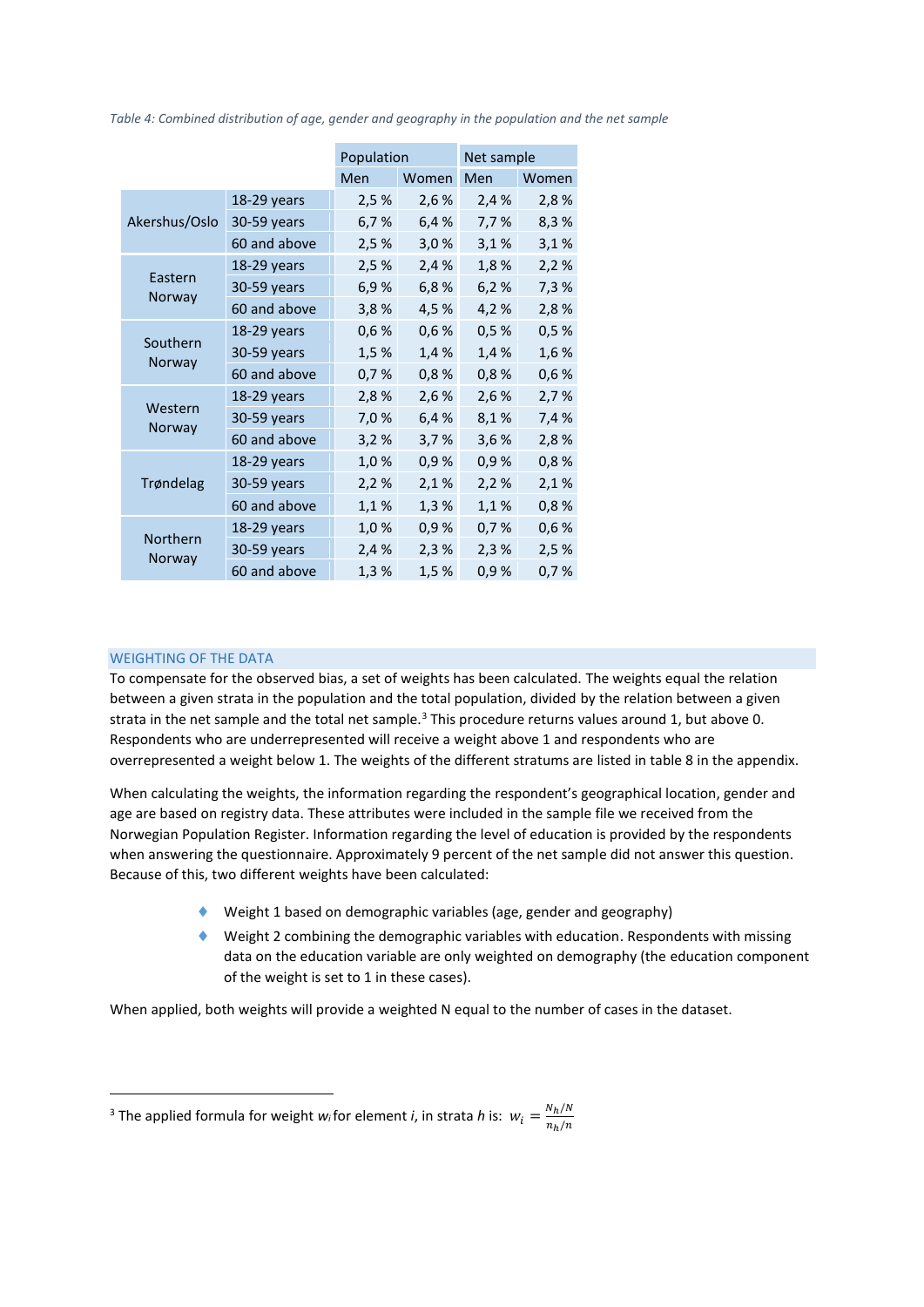|                   | Population    |       | Net sample |            |       |
|-------------------|---------------|-------|------------|------------|-------|
|                   |               | Men   | Women      | <b>Men</b> | Women |
|                   | 18-29 years   | 2,5%  | 2,6 %      | 2,4%       | 2,8%  |
| Akershus/Oslo     | 30-59 years   | 6,7%  | 6,4%       | 7,7%       | 8,3%  |
|                   | 60 and above  | 2,5%  | 3,0%       | 3,1%       | 3,1%  |
|                   | 18-29 years   | 2,5%  | 2,4%       | 1,8%       | 2,2%  |
| Eastern<br>Norway | 30-59 years   | 6.9%  | 6,8%       | 6,2%       | 7,3%  |
|                   | 60 and above  | 3,8%  | 4,5%       | 4,2%       | 2,8%  |
|                   | 18-29 years   | 0,6%  | 0,6%       | 0,5%       | 0,5%  |
| Southern          | 30-59 years   | 1,5 % | 1,4 %      | 1,4 %      | 1,6%  |
| Norway            | 60 and above  | 0,7%  | 0,8%       | 0,8%       | 0,6%  |
| Western<br>Norway | 18-29 years   | 2,8%  | 2,6 %      | 2,6 %      | 2,7%  |
|                   | 30-59 years   | 7,0%  | 6,4%       | 8,1%       | 7,4 % |
|                   | 60 and above  | 3,2%  | 3,7%       | 3,6%       | 2,8%  |
|                   | $18-29$ years | 1,0%  | 0,9%       | 0,9%       | 0,8%  |
| Trøndelag         | 30-59 years   | 2,2%  | 2,1%       | 2,2%       | 2,1%  |
|                   | 60 and above  | 1,1%  | 1,3%       | 1,1%       | 0,8%  |
|                   | 18-29 years   | 1,0%  | 0,9%       | 0,7%       | 0,6%  |
| Northern          | 30-59 years   | 2,4%  | 2,3%       | 2,3%       | 2,5%  |
| Norway            | 60 and above  | 1,3%  | 1,5 %      | 0,9%       | 0,7%  |

*Table 4: Combined distribution of age, gender and geography in the population and the net sample*

## WEIGHTING OF THE DATA

**.** 

To compensate for the observed bias, a set of weights has been calculated. The weights equal the relation between a given strata in the population and the total population, divided by the relation between a given strata in the net sample and the total net sample.<sup>3</sup> This procedure returns values around 1, but above 0. Respondents who are underrepresented will receive a weight above 1 and respondents who are overrepresented a weight below 1. The weights of the different stratums are listed in table 8 in the appendix.

When calculating the weights, the information regarding the respondent's geographical location, gender and age are based on registry data. These attributes were included in the sample file we received from the Norwegian Population Register. Information regarding the level of education is provided by the respondents when answering the questionnaire. Approximately 9 percent of the net sample did not answer this question. Because of this, two different weights have been calculated:

- Weight 1 based on demographic variables (age, gender and geography)
- $\blacklozenge$  Weight 2 combining the demographic variables with education. Respondents with missing data on the education variable are only weighted on demography (the education component of the weight is set to 1 in these cases).

When applied, both weights will provide a weighted N equal to the number of cases in the dataset.

<sup>&</sup>lt;sup>3</sup> The applied formula for weight *w*<sub>*i*</sub> for element *i*, in strata *h* is:  $w_i = \frac{N_h}{n \cdot h}$  $n_h/n$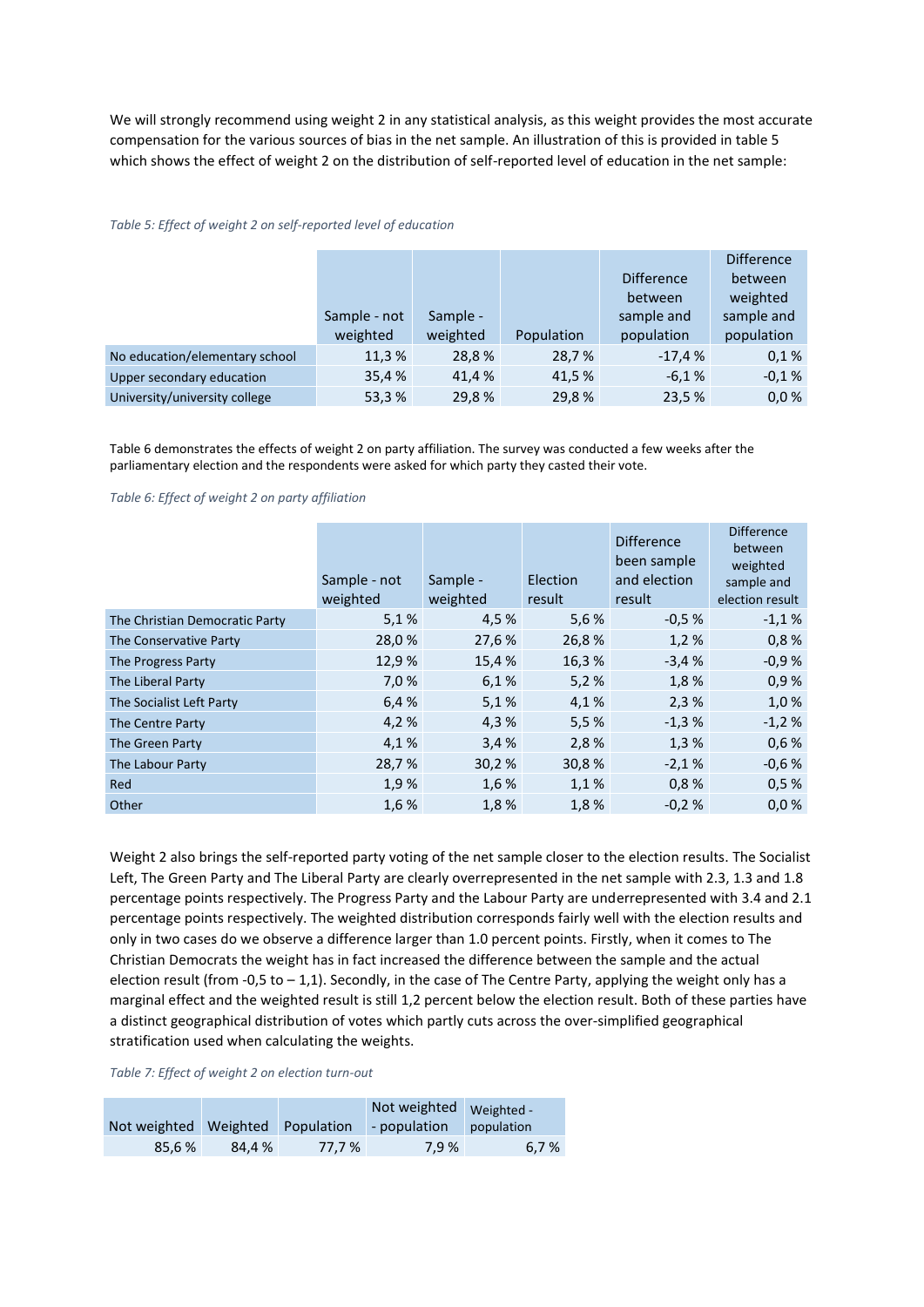We will strongly recommend using weight 2 in any statistical analysis, as this weight provides the most accurate compensation for the various sources of bias in the net sample. An illustration of this is provided in table 5 which shows the effect of weight 2 on the distribution of self-reported level of education in the net sample:

|                                | Sample - not | Sample - |            | <b>Difference</b><br>between<br>sample and | <b>Difference</b><br>between<br>weighted<br>sample and |
|--------------------------------|--------------|----------|------------|--------------------------------------------|--------------------------------------------------------|
|                                | weighted     | weighted | Population | population                                 | population                                             |
| No education/elementary school | 11,3%        | 28,8%    | 28,7%      | $-17,4%$                                   | 0.1%                                                   |
| Upper secondary education      | 35,4 %       | 41.4 %   | 41,5%      | $-6.1%$                                    | $-0.1%$                                                |
| University/university college  | 53,3%        | 29,8%    | 29,8%      | 23,5 %                                     | 0,0%                                                   |

#### *Table 5: Effect of weight 2 on self-reported level of education*

Table 6 demonstrates the effects of weight 2 on party affiliation. The survey was conducted a few weeks after the parliamentary election and the respondents were asked for which party they casted their vote.

#### *Table 6: Effect of weight 2 on party affiliation*

|                                | Sample - not<br>weighted | Sample -<br>weighted | Election<br>result | <b>Difference</b><br>been sample<br>and election<br>result | <b>Difference</b><br>between<br>weighted<br>sample and<br>election result |
|--------------------------------|--------------------------|----------------------|--------------------|------------------------------------------------------------|---------------------------------------------------------------------------|
| The Christian Democratic Party | 5,1%                     | 4,5 %                | 5,6%               | $-0.5%$                                                    | $-1,1%$                                                                   |
| The Conservative Party         | 28,0%                    | 27,6 %               | 26,8%              | 1,2%                                                       | 0,8%                                                                      |
| The Progress Party             | 12,9%                    | 15,4 %               | 16,3%              | $-3,4%$                                                    | $-0.9%$                                                                   |
| The Liberal Party              | 7,0 %                    | 6,1%                 | 5,2%               | 1,8%                                                       | 0,9%                                                                      |
| The Socialist Left Party       | 6,4 %                    | 5.1%                 | 4,1%               | 2,3%                                                       | 1,0%                                                                      |
| The Centre Party               | 4,2 %                    | 4,3%                 | 5,5%               | $-1,3%$                                                    | $-1,2%$                                                                   |
| The Green Party                | 4,1%                     | 3,4%                 | 2,8%               | 1,3%                                                       | 0,6%                                                                      |
| The Labour Party               | 28,7%                    | 30,2%                | 30,8%              | $-2,1%$                                                    | $-0,6%$                                                                   |
| Red                            | 1,9%                     | 1,6 %                | 1,1%               | 0,8%                                                       | 0,5%                                                                      |
| Other                          | 1,6 %                    | 1,8%                 | 1,8%               | $-0.2%$                                                    | 0,0%                                                                      |

Weight 2 also brings the self-reported party voting of the net sample closer to the election results. The Socialist Left, The Green Party and The Liberal Party are clearly overrepresented in the net sample with 2.3, 1.3 and 1.8 percentage points respectively. The Progress Party and the Labour Party are underrepresented with 3.4 and 2.1 percentage points respectively. The weighted distribution corresponds fairly well with the election results and only in two cases do we observe a difference larger than 1.0 percent points. Firstly, when it comes to The Christian Democrats the weight has in fact increased the difference between the sample and the actual election result (from -0,5 to  $-1,1$ ). Secondly, in the case of The Centre Party, applying the weight only has a marginal effect and the weighted result is still 1,2 percent below the election result. Both of these parties have a distinct geographical distribution of votes which partly cuts across the over-simplified geographical stratification used when calculating the weights.

#### *Table 7: Effect of weight 2 on election turn-out*

| Not weighted | <b>Weighted</b> | Population | Not weighted<br>- population | Weighted -<br>population |
|--------------|-----------------|------------|------------------------------|--------------------------|
| 85.6%        | 84.4 %          | 77.7 %     | 7.9%                         | 6.7%                     |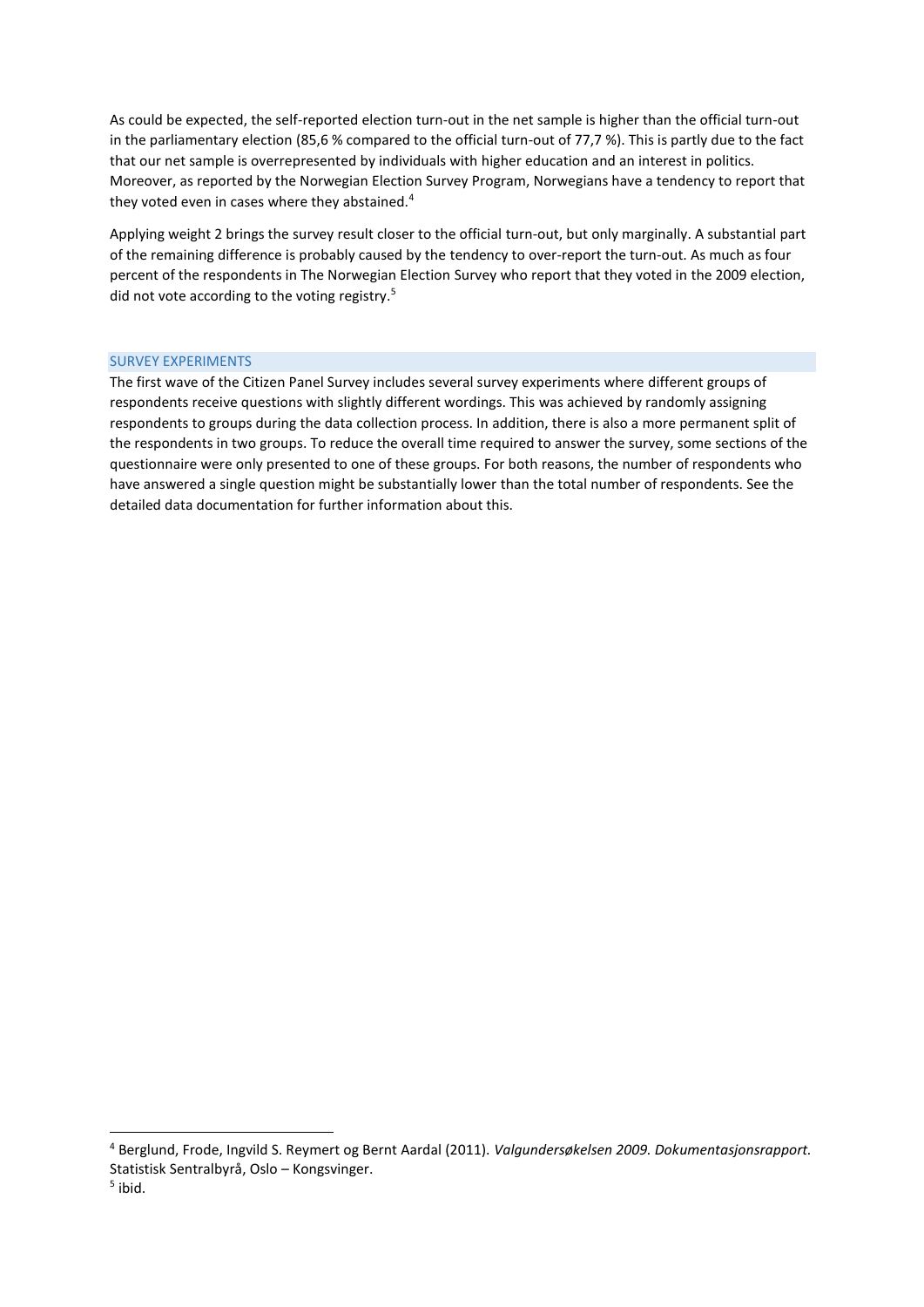As could be expected, the self-reported election turn-out in the net sample is higher than the official turn-out in the parliamentary election (85,6 % compared to the official turn-out of 77,7 %). This is partly due to the fact that our net sample is overrepresented by individuals with higher education and an interest in politics. Moreover, as reported by the Norwegian Election Survey Program, Norwegians have a tendency to report that they voted even in cases where they abstained.<sup>4</sup>

Applying weight 2 brings the survey result closer to the official turn-out, but only marginally. A substantial part of the remaining difference is probably caused by the tendency to over-report the turn-out. As much as four percent of the respondents in The Norwegian Election Survey who report that they voted in the 2009 election, did not vote according to the voting registry.<sup>5</sup>

#### SURVEY EXPERIMENTS

<u>.</u>

The first wave of the Citizen Panel Survey includes several survey experiments where different groups of respondents receive questions with slightly different wordings. This was achieved by randomly assigning respondents to groups during the data collection process. In addition, there is also a more permanent split of the respondents in two groups. To reduce the overall time required to answer the survey, some sections of the questionnaire were only presented to one of these groups. For both reasons, the number of respondents who have answered a single question might be substantially lower than the total number of respondents. See the detailed data documentation for further information about this.

<sup>4</sup> Berglund, Frode, Ingvild S. Reymert og Bernt Aardal (2011). *Valgundersøkelsen 2009. Dokumentasjonsrapport.*  Statistisk Sentralbyrå, Oslo – Kongsvinger. 5 ibid.